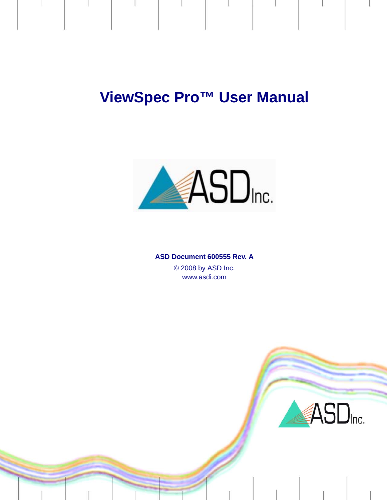# **ViewSpec Pro™ User Manual**



#### **ASD Document 600555 Rev. A**

© 2008 by ASD Inc. www.asdi.com

ASD<sub>Inc.</sub>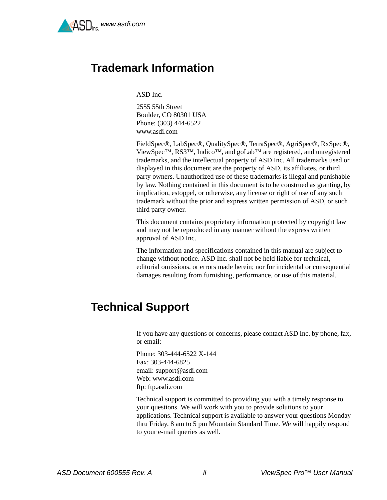

### <span id="page-1-3"></span><span id="page-1-0"></span>**Trademark Information**

ASD Inc.

2555 55th Street Boulder, CO 80301 USA Phone: (303) 444-6522 www.asdi.com

FieldSpec®, LabSpec®, QualitySpec®, TerraSpec®, AgriSpec®, RxSpec®, ViewSpec™, RS3™, Indico™, and goLab™ are registered, and unregistered trademarks, and the intellectual property of ASD Inc. All trademarks used or displayed in this document are the property of ASD, its affiliates, or third party owners. Unauthorized use of these trademarks is illegal and punishable by law. Nothing contained in this document is to be construed as granting, by implication, estoppel, or otherwise, any license or right of use of any such trademark without the prior and express written permission of ASD, or such third party owner.

This document contains proprietary information protected by copyright law and may not be reproduced in any manner without the express written approval of ASD Inc.

The information and specifications contained in this manual are subject to change without notice. ASD Inc. shall not be held liable for technical, editorial omissions, or errors made herein; nor for incidental or consequential damages resulting from furnishing, performance, or use of this material.

### <span id="page-1-2"></span><span id="page-1-1"></span>**Technical Support**

If you have any questions or concerns, please contact ASD Inc. by phone, fax, or email:

Phone: 303-444-6522 X-144 Fax: 303-444-6825 email: support@asdi.com Web: www.asdi.com ftp: ftp.asdi.com

Technical support is committed to providing you with a timely response to your questions. We will work with you to provide solutions to your applications. Technical support is available to answer your questions Monday thru Friday, 8 am to 5 pm Mountain Standard Time. We will happily respond to your e-mail queries as well.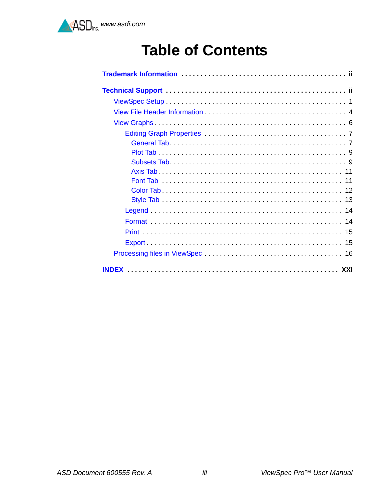# **Table of Contents**

| <b>INDFX</b> |
|--------------|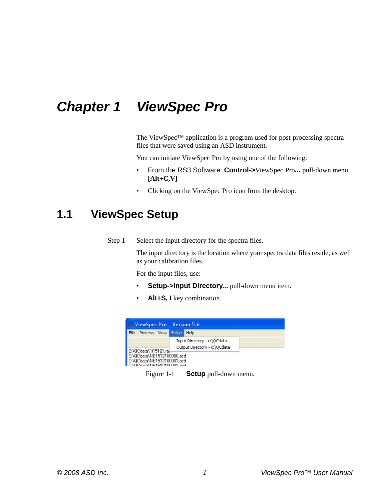# *Chapter 1 ViewSpec Pro*

The ViewSpec™ application is a program used for post-processing spectra files that were saved using an ASD instrument.

You can initiate ViewSpec Pro by using one of the following:

- From the RS3 Software: **Control->**ViewSpec Pro**...** pull-down menu. **[Alt+C,V]**
- <span id="page-3-1"></span>• Clicking on the ViewSpec Pro icon from the desktop.

### <span id="page-3-0"></span>**1.1 ViewSpec Setup**

Step 1 Select the input directory for the spectra files.

The input directory is the location where your spectra data files reside, as well as your calibration files.

For the input files, use:

- **Setup->Input Directory...** pull-down menu item.
- **Alt+S, I** key combination.

| File<br><b>Process</b><br><b>View</b> | Setup | Help                         |
|---------------------------------------|-------|------------------------------|
|                                       |       | Input Directory - c:\QCdata  |
|                                       |       | Output Directory - c:\QCdata |
| C:\QCdata\1i15121.ral                 |       |                              |
| C:\QCdata\NE1512100000.asd            |       |                              |
| C:\QCdata\NE1512100001.asd            |       |                              |
| C:\OCdata\NE1512100002.asd            |       |                              |

Figure 1-1 **Setup** pull-down menu.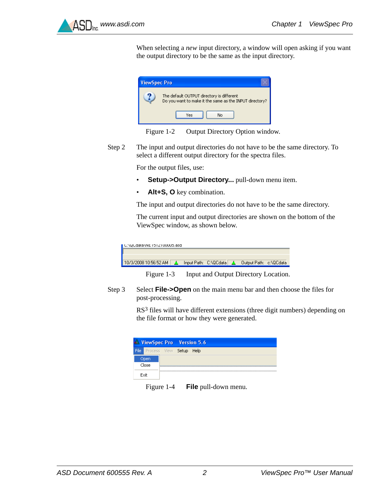

When selecting a *new* input directory, a window will open asking if you want the output directory to be the same as the input directory.





Step 2 The input and output directories do not have to be the same directory. To select a different output directory for the spectra files.

For the output files, use:

- **Setup->Output Directory...** pull-down menu item.
- Alt+S, O key combination.

The input and output directories do not have to be the same directory.

The current input and output directories are shown on the bottom of the ViewSpec window, as shown below.

| ∎ UNQUQataNNE TOTZTUUUUO,asq |  |                       |                        |  |
|------------------------------|--|-----------------------|------------------------|--|
|                              |  |                       |                        |  |
| 10/3/2008 10:56:52 AM        |  | Input Path: C:\QCdata | Output Path: c:\QCdata |  |
|                              |  |                       |                        |  |

Figure 1-3 Input and Output Directory Location.

Step 3 Select **File->Open** on the main menu bar and then choose the files for post-processing.

> RS<sup>3</sup> files will have different extensions (three digit numbers) depending on the file format or how they were generated.

|      |       | W ViewSpec Pro Version 5.6 |      |  |
|------|-------|----------------------------|------|--|
| File |       | Process View Setup         | Help |  |
|      | Open  |                            |      |  |
|      | Close |                            |      |  |
|      | Exit  |                            |      |  |

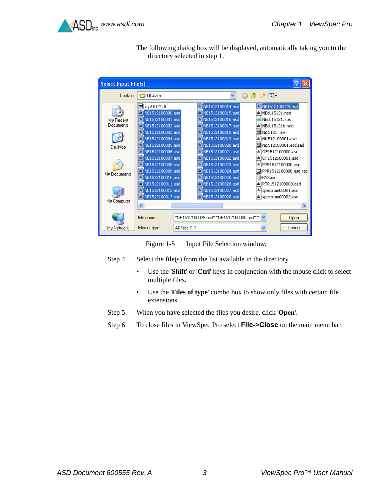

The following dialog box will be displayed, automatically taking you to the directory selected in step 1.

| <b>Select Input File(s)</b>       |                                                                                                                                                    |                 |                                                                                                                                          |                    |                                                                                                                        |
|-----------------------------------|----------------------------------------------------------------------------------------------------------------------------------------------------|-----------------|------------------------------------------------------------------------------------------------------------------------------------------|--------------------|------------------------------------------------------------------------------------------------------------------------|
| Look in:                          | <b>OCdata</b>                                                                                                                                      |                 |                                                                                                                                          | r≠ m∙              |                                                                                                                        |
| My Recent<br>Documents<br>Desktop | <b>同</b> Imp15121.ill<br>NE1512100000.asd<br>A NE1512100001.asd<br>Le NE1512100002.asd<br>NE1512100003.asd<br>NE1512100004.asd<br>NE1512100005.asd |                 | NE1512100014.asd<br>NE1512100015.asd<br>NE1512100016.asd<br>NE1512100017.asd<br>NE1512100018.asd<br>NE1512100019.asd<br>NE1512100020.asd | Mi15121.raw<br>is. | NE1512100029.asd<br>▲ NEdL15121.ned<br>NEdL15121.xps<br>▲ NEdL15121b.ned<br>▲ Ni1512100001.asd<br>Ni1512100001.asd.rad |
| My Documents                      | NE1512100006.asd<br>NE1512100007.asd<br>NE1512100008.asd<br>NE1512100009.asd<br>NE1512100010.asd<br>NE1512100011.asd                               |                 | NE1512100021.asd<br>NE1512100022.asd<br>NE1512100023.asd<br>NE1512100024.asd<br>NE1512100025.asd<br>NE1512100026.asd                     | RS3.ini            | ▲ OF1512100000.asd<br>OF1512100001.asd<br>PPR1512100000.asd<br>PPR1512100000.asd.rac<br>RTR1512100000.asd              |
| My Computer                       | NE1512100012.asd<br>NE1512100013.asd<br>∢<br>File name:                                                                                            | <b>TITL</b>     | NE1512100027.asd<br>NE1512100028.asd<br>"NE1512100029.asd" "NE1512100000.asd" "                                                          |                    | spectrum00001.asd<br>spectrum00002.asd<br>Open                                                                         |
| My Network                        | Files of type:                                                                                                                                     | All Files (*.*) |                                                                                                                                          |                    | Cancel                                                                                                                 |

Figure 1-5 Input File Selection window.

Step  $4$  Select the file(s) from the list available in the directory.

- Use the '**Shift**' or '**Ctrl**' keys in conjunction with the mouse click to select multiple files.
- Use the '**Files of type**' combo box to show only files with certain file extensions.
- Step 5 When you have selected the files you desire, click '**Open**'.
- Step 6 To close files in ViewSpec Pro select **File->Close** on the main menu bar.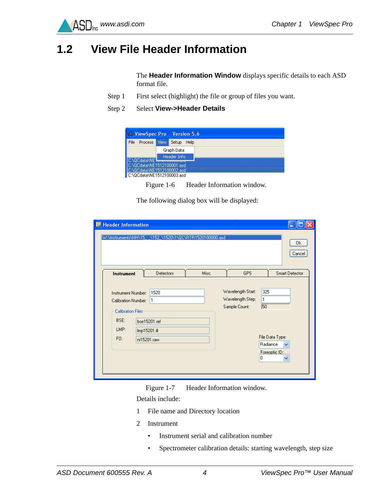

### <span id="page-6-1"></span><span id="page-6-0"></span>**1.2 View File Header Information**

The **Header Information Window** displays specific details to each ASD format file.

- Step 1 First select (highlight) the file or group of files you want.
- Step 2 Select **View->Header Details**



Figure 1-6 Header Information window.

The following dialog box will be displayed:

| Header Information                                                                                                                                        |       |                                                                                           |                                  |
|-----------------------------------------------------------------------------------------------------------------------------------------------------------|-------|-------------------------------------------------------------------------------------------|----------------------------------|
| W:\Instruments\HH\15_ _\152_\1520\1\QC\RTR1520100000.asd                                                                                                  |       |                                                                                           | 0k<br>Cancel                     |
| Detectors<br>Instrument                                                                                                                                   | Misc. | <b>GPS</b>                                                                                | <b>Smart Detector</b>            |
| 1520<br>Instrument Number:<br>11<br>Calibration Number:<br><b>Calibration Files</b><br>BSE:<br>bse15201.ref<br>LMP:<br>Imp15201.ill<br>FO:<br>ni15201.raw |       | Wavelength Start:<br>325<br>Wavelength Step:<br>1<br>50<br>Sample Count:<br>Radiance<br>0 | File Data Type:<br>Foreoptic ID: |

Figure 1-7 Header Information window.

Details include:

- 1 File name and Directory location
- 2 Instrument
	- Instrument serial and calibration number
	- Spectrometer calibration details: starting wavelength, step size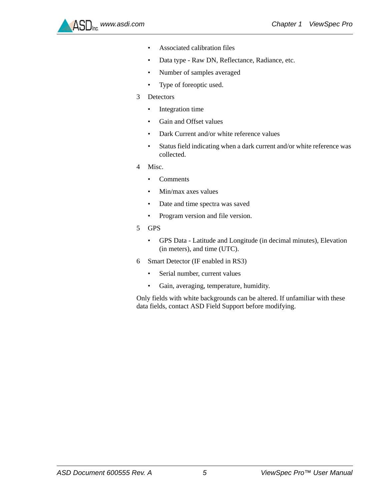

- Associated calibration files
- Data type Raw DN, Reflectance, Radiance, etc.
- Number of samples averaged
- Type of foreoptic used.
- 3 Detectors
	- Integration time
	- Gain and Offset values
	- Dark Current and/or white reference values
	- Status field indicating when a dark current and/or white reference was collected.
- 4 Misc.
	- Comments
	- Min/max axes values
	- Date and time spectra was saved
	- Program version and file version.
- 5 GPS
	- GPS Data Latitude and Longitude (in decimal minutes), Elevation (in meters), and time (UTC).
- 6 Smart Detector (IF enabled in RS3)
	- Serial number, current values
	- Gain, averaging, temperature, humidity.

Only fields with white backgrounds can be altered. If unfamiliar with these data fields, contact ASD Field Support before modifying.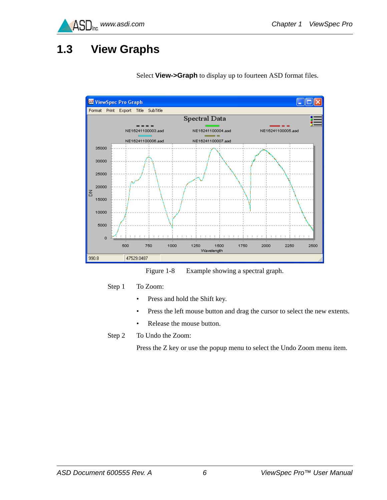

## <span id="page-8-1"></span><span id="page-8-0"></span>**1.3 View Graphs**



Select **View->Graph** to display up to fourteen ASD format files.

<span id="page-8-2"></span>Figure 1-8 Example showing a spectral graph.

Step 1 To Zoom:

- Press and hold the Shift key.
- Press the left mouse button and drag the cursor to select the new extents.
- Release the mouse button.
- Step 2 To Undo the Zoom:

Press the Z key or use the popup menu to select the Undo Zoom menu item.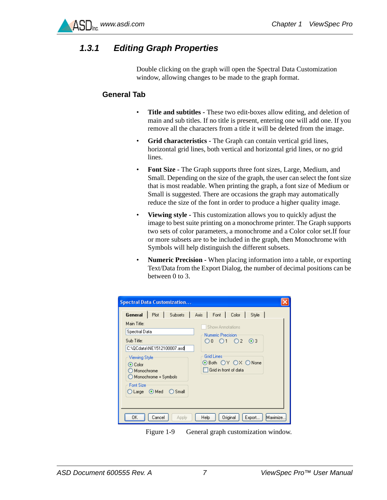

#### <span id="page-9-4"></span><span id="page-9-0"></span>*1.3.1 Editing Graph Properties*

Double clicking on the graph will open the Spectral Data Customization window, allowing changes to be made to the graph format.

#### <span id="page-9-3"></span><span id="page-9-1"></span>**General Tab**

- <span id="page-9-7"></span>• **Title and subtitles -** These two edit-boxes allow editing, and deletion of main and sub titles. If no title is present, entering one will add one. If you remove all the characters from a title it will be deleted from the image.
- <span id="page-9-5"></span>• **Grid characteristics -** The Graph can contain vertical grid lines, horizontal grid lines, both vertical and horizontal grid lines, or no grid lines.
- <span id="page-9-2"></span>• **Font Size -** The Graph supports three font sizes, Large, Medium, and Small. Depending on the size of the graph, the user can select the font size that is most readable. When printing the graph, a font size of Medium or Small is suggested. There are occasions the graph may automatically reduce the size of the font in order to produce a higher quality image.
- <span id="page-9-8"></span>• **Viewing style -** This customization allows you to quickly adjust the image to best suite printing on a monochrome printer. The Graph supports two sets of color parameters, a monochrome and a Color color set.If four or more subsets are to be included in the graph, then Monochrome with Symbols will help distinguish the different subsets.
- <span id="page-9-6"></span>• **Numeric Precision -** When placing information into a table, or exporting Text/Data from the Export Dialog, the number of decimal positions can be between 0 to 3.

| <b>Spectral Data Customization</b>                                                                                                                                                                        |                                                                                                                                                                                   |
|-----------------------------------------------------------------------------------------------------------------------------------------------------------------------------------------------------------|-----------------------------------------------------------------------------------------------------------------------------------------------------------------------------------|
| General  <br>Main Title:<br>Spectral Data<br>Sub Title:<br>C:\QCdata\NE1512100007.asd<br>Viewing Style<br>⊙ Color<br>Monochrome<br>Monochrome + Symbols<br><b>Font Size</b><br>○ Large   ● Med<br>◯ Small | Plot   Subsets   Axis   Font   Color  <br>Style<br><b>Show Annotations</b><br>Numeric Precision<br>O0 O1 O2 ⊚3<br><b>Grid Lines</b><br>⊙Both OY OX ONone<br>Grid in front of data |
| 0K<br>Cancel<br>Apply                                                                                                                                                                                     | Maximize.<br>Original<br>Export<br>Help                                                                                                                                           |

Figure 1-9 General graph customization window.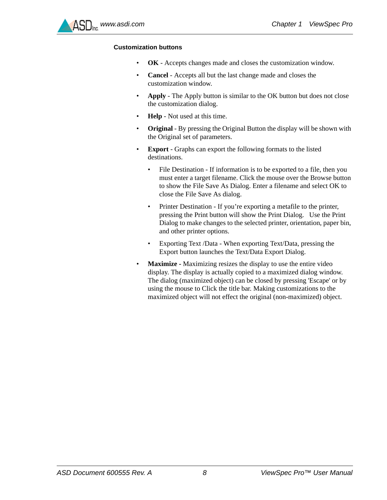

#### **Customization buttons**

- **OK** Accepts changes made and closes the customization window.
- **Cancel** Accepts all but the last change made and closes the customization window.
- <span id="page-10-0"></span>• **Apply** - The Apply button is similar to the OK button but does not close the customization dialog.
- **Help** Not used at this time.
- <span id="page-10-3"></span>• **Original** - By pressing the Original Button the display will be shown with the Original set of parameters.
- <span id="page-10-1"></span>• **Export** - Graphs can export the following formats to the listed destinations.
	- File Destination If information is to be exported to a file, then you must enter a target filename. Click the mouse over the Browse button to show the File Save As Dialog. Enter a filename and select OK to close the File Save As dialog.
	- Printer Destination If you're exporting a metafile to the printer, pressing the Print button will show the Print Dialog. Use the Print Dialog to make changes to the selected printer, orientation, paper bin, and other printer options.
	- Exporting Text /Data When exporting Text/Data, pressing the Export button launches the Text/Data Export Dialog.
- <span id="page-10-2"></span>• **Maximize -** Maximizing resizes the display to use the entire video display. The display is actually copied to a maximized dialog window. The dialog (maximized object) can be closed by pressing 'Escape' or by using the mouse to Click the title bar. Making customizations to the maximized object will not effect the original (non-maximized) object.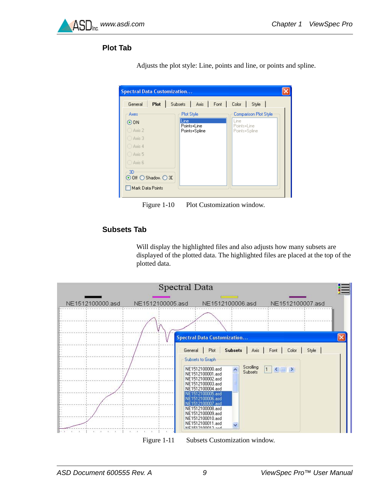<span id="page-11-0"></span>

#### <span id="page-11-2"></span>**Plot Tab**

| Plot<br>General     | Subsets   Axis   Font | Color  <br>Style             |
|---------------------|-----------------------|------------------------------|
| Axes                | Plot Style            | <b>Comparison Plot Style</b> |
| $\odot$ DN          | Line<br>Points+Line   | Line<br>Points+Line          |
| ◯ Axis 2            | Points+Spline         | Points+Spline                |
| ◯ Axis 3            |                       |                              |
| ◯ Axis 4            |                       |                              |
| Axis 5              |                       |                              |
| ◯ Axis 6            |                       |                              |
| 3D                  |                       |                              |
| ⊙ Off O Shadow O 3D |                       |                              |

Adjusts the plot style: Line, points and line, or points and spline.

Figure 1-10 Plot Customization window.

#### <span id="page-11-3"></span><span id="page-11-1"></span>**Subsets Tab**

Will display the highlighted files and also adjusts how many subsets are displayed of the plotted data. The highlighted files are placed at the top of the plotted data.

|                  | Spectral Data    |                                                                                                                                                                                                                                                                                                                                     |
|------------------|------------------|-------------------------------------------------------------------------------------------------------------------------------------------------------------------------------------------------------------------------------------------------------------------------------------------------------------------------------------|
| NE1512100000.asd | NE1512100005.asd | NE1512100006.asd<br>NE1512100007.asd<br><b>Spectral Data Customization</b><br>Subsets   Axis   Font   Color   Style  <br>Plot<br>General  <br>Subsets to Graph<br>Scrolling<br>$1$ $\leq$ $\leq$<br>NE1512100000.asd<br>Subsets<br>NE1512100001.asd<br>NE1512100002.asd<br>NE1512100003.asd<br>NE1512100004.asd<br>NE1512100005.asd |
|                  |                  | NE1512100006.asd<br>NE1512100007.asd<br>NE1512100008.asd<br>NE1512100009.asd<br>NE1512100010.asd<br>NE1512100011.asd<br>$\ddot{\phantom{1}}$<br>MIC1F12100012 and                                                                                                                                                                   |

Figure 1-11 Subsets Customization window.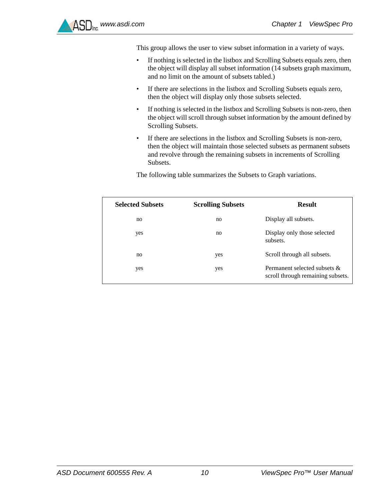This group allows the user to view subset information in a variety of ways.

- If nothing is selected in the listbox and Scrolling Subsets equals zero, then the object will display all subset information (14 subsets graph maximum, and no limit on the amount of subsets tabled.)
- If there are selections in the listbox and Scrolling Subsets equals zero, then the object will display only those subsets selected.
- If nothing is selected in the listbox and Scrolling Subsets is non-zero, then the object will scroll through subset information by the amount defined by Scrolling Subsets.
- If there are selections in the listbox and Scrolling Subsets is non-zero, then the object will maintain those selected subsets as permanent subsets and revolve through the remaining subsets in increments of Scrolling Subsets.

The following table summarizes the Subsets to Graph variations.

| <b>Selected Subsets</b> | <b>Scrolling Subsets</b> | <b>Result</b>                                                        |
|-------------------------|--------------------------|----------------------------------------------------------------------|
| no                      | no                       | Display all subsets.                                                 |
| yes                     | no                       | Display only those selected<br>subsets.                              |
| no                      | yes                      | Scroll through all subsets.                                          |
| yes                     | yes                      | Permanent selected subsets $\&$<br>scroll through remaining subsets. |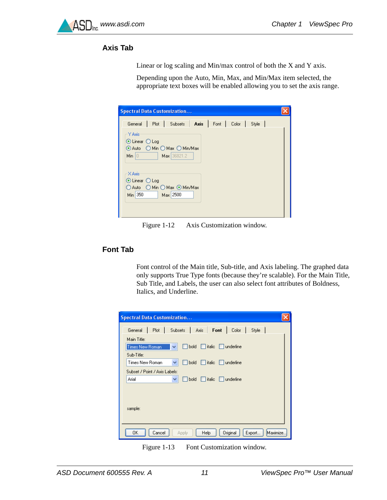#### <span id="page-13-2"></span><span id="page-13-0"></span>**Axis Tab**

Linear or log scaling and Min/max control of both the X and Y axis.

Depending upon the Auto, Min, Max, and Min/Max item selected, the appropriate text boxes will be enabled allowing you to set the axis range.

| <b>Spectral Data Customization</b>                        |  |
|-----------------------------------------------------------|--|
| General   Plot   Subsets   Axis   Font   Color   Style    |  |
| Y Axis<br>⊙ Linear ○ Log<br>⊙ Auto O Min O Max O Min/Max  |  |
| Min $\begin{bmatrix} 0 & -1 \end{bmatrix}$<br>Max 36821.2 |  |
| X Axis<br>⊙ Linear ○ Log                                  |  |
| ○ Auto  ○ Min ○ Max ◎ Min/Max<br>Min 350<br>Max 2500      |  |
|                                                           |  |

Figure 1-12 Axis Customization window.

#### <span id="page-13-3"></span><span id="page-13-1"></span>**Font Tab**

Font control of the Main title, Sub-title, and Axis labeling. The graphed data only supports True Type fonts (because they're scalable). For the Main Title, Sub Title, and Labels, the user can also select font attributes of Boldness, Italics, and Underline.

| <b>Spectral Data Customization</b>                               |
|------------------------------------------------------------------|
| Plot   Subsets   Axis   Font  <br>Color   Style  <br>General     |
| Main Title:                                                      |
| italic underline<br>bold<br><b>Times New Roman</b><br>v          |
| Sub-Title:                                                       |
| italic underline<br>Times New Roman<br>bold<br>v                 |
| Subset / Point / Axis Labels:                                    |
| Arial<br>$\Box$ italic $\Box$ underline<br>bold<br>٧             |
|                                                                  |
|                                                                  |
| sample:                                                          |
|                                                                  |
| Maximize.<br>Original<br>OΚ<br>Export<br>Cancel<br>Help<br>Apply |

Figure 1-13 Font Customization window.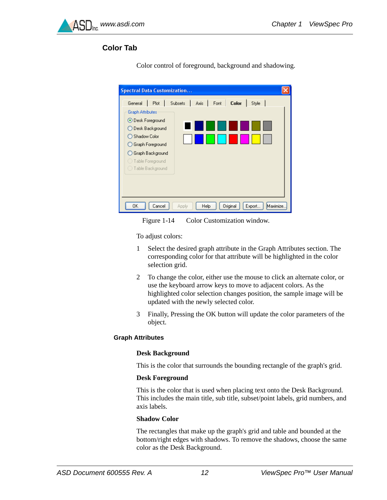<span id="page-14-0"></span>

#### <span id="page-14-1"></span>**Color Tab**

| <b>Spectral Data Customization</b>                               |  |
|------------------------------------------------------------------|--|
| Axis Font<br><b>Color</b><br>General Plot Subsets<br>Style       |  |
| <b>Graph Attributes</b>                                          |  |
| ⊙ Desk Foreground                                                |  |
| ◯ Desk Background                                                |  |
| ◯ Shadow Color                                                   |  |
| Graph Foreground                                                 |  |
| ◯ Graph Background                                               |  |
| ◯ Table Foreground                                               |  |
| ◯ Table Background                                               |  |
|                                                                  |  |
|                                                                  |  |
|                                                                  |  |
| Original<br>ΟK<br>Export<br>Maximize.<br>Cancel<br>Help<br>Apply |  |

Color control of foreground, background and shadowing.



To adjust colors:

- 1 Select the desired graph attribute in the Graph Attributes section. The corresponding color for that attribute will be highlighted in the color selection grid.
- 2 To change the color, either use the mouse to click an alternate color, or use the keyboard arrow keys to move to adjacent colors. As the highlighted color selection changes position, the sample image will be updated with the newly selected color.
- 3 Finally, Pressing the OK button will update the color parameters of the object.

#### <span id="page-14-2"></span>**Graph Attributes**

#### **Desk Background**

This is the color that surrounds the bounding rectangle of the graph's grid.

#### **Desk Foreground**

This is the color that is used when placing text onto the Desk Background. This includes the main title, sub title, subset/point labels, grid numbers, and axis labels.

#### **Shadow Color**

The rectangles that make up the graph's grid and table and bounded at the bottom/right edges with shadows. To remove the shadows, choose the same color as the Desk Background.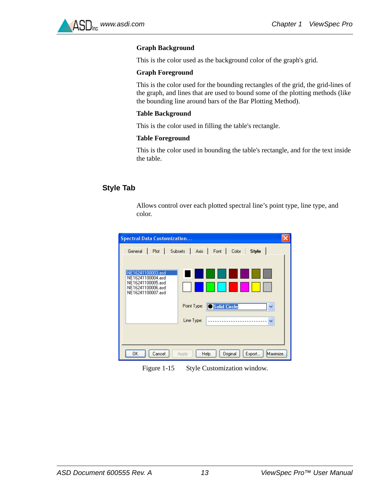#### **Graph Background**

This is the color used as the background color of the graph's grid.

#### **Graph Foreground**

This is the color used for the bounding rectangles of the grid, the grid-lines of the graph, and lines that are used to bound some of the plotting methods (like the bounding line around bars of the Bar Plotting Method).

#### **Table Background**

This is the color used in filling the table's rectangle.

#### **Table Foreground**

This is the color used in bounding the table's rectangle, and for the text inside the table.

#### <span id="page-15-1"></span><span id="page-15-0"></span>**Style Tab**

Allows control over each plotted spectral line's point type, line type, and color.



Figure 1-15 Style Customization window.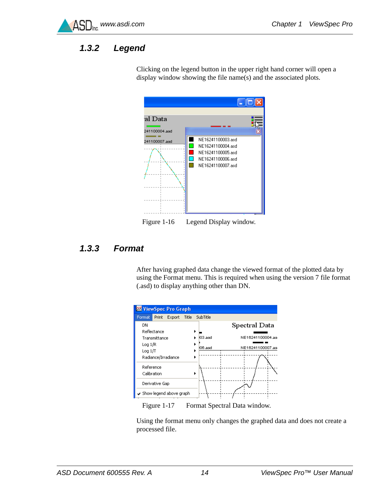

### <span id="page-16-3"></span><span id="page-16-0"></span>*1.3.2 Legend*



Clicking on the legend button in the upper right hand corner will open a display window showing the file name(s) and the associated plots.

<span id="page-16-2"></span>Figure 1-16 Legend Display window.

#### <span id="page-16-1"></span>*1.3.3 Format*

After having graphed data change the viewed format of the plotted data by using the Format menu. This is required when using the version 7 file format (.asd) to display anything other than DN.



Figure 1-17 Format Spectral Data window.

Using the format menu only changes the graphed data and does not create a processed file.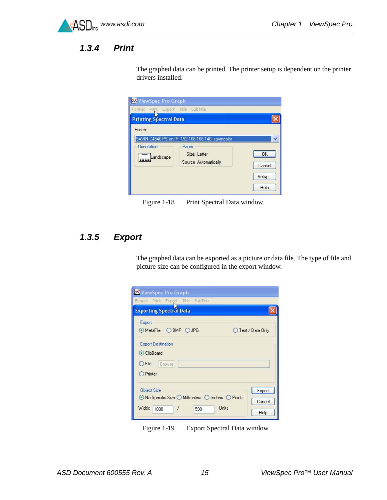

### <span id="page-17-3"></span><span id="page-17-0"></span>*1.3.4 Print*

The graphed data can be printed. The printer setup is dependent on the printer drivers installed.

| Format Print Export Title SubTitle |                                                 |        |
|------------------------------------|-------------------------------------------------|--------|
| <b>Printing Spectral Data</b>      |                                                 |        |
| Printer:                           |                                                 |        |
|                                    | SAVIN C4540 PS on IP_192.168.168.140_savincolor |        |
| Orientation:                       | Paper:                                          |        |
| <b>Example 2</b>                   | Size: Letter                                    | OK     |
|                                    | Source Automatically                            | Cancel |
|                                    |                                                 | Setup  |
|                                    |                                                 |        |

Figure 1-18 Print Spectral Data window.

### <span id="page-17-2"></span><span id="page-17-1"></span>*1.3.5 Export*

The graphed data can be exported as a picture or data file. The type of file and picture size can be configured in the export window.

| <b>WE ViewSpec Pro Graph</b>                                                                           |                                   |
|--------------------------------------------------------------------------------------------------------|-----------------------------------|
| Format Print Export Title SubTitle                                                                     |                                   |
| <b>Exporting Spectral Data</b>                                                                         |                                   |
| Export<br>⊙MetaFile OBMP OJPG                                                                          | Text / Data Only                  |
| <b>Export Destination</b><br>C ClipBoard<br>$\bigcirc$ File<br>Browse<br><b>O</b> Printer              |                                   |
| <b>Object Size</b><br>⊙ No Specific Size ○ Millimeters ○ Inches ○ Points<br>1<br>Width:<br>1000<br>590 | Export<br>Cancel<br>Units<br>Help |

Figure 1-19 Export Spectral Data window.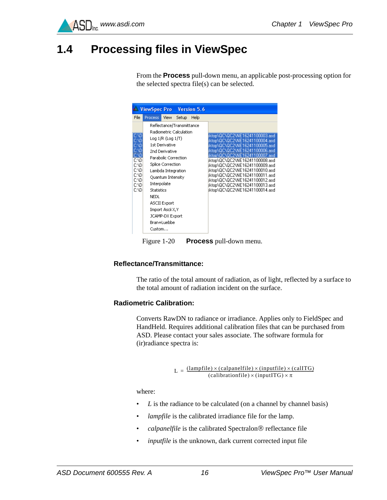

### <span id="page-18-1"></span><span id="page-18-0"></span>**1.4 Processing files in ViewSpec**

From the **Process** pull-down menu, an applicable post-processing option for the selected spectra file(s) can be selected.

|                                                                                                     | <b>W. ViewSpec Pro</b>                       |                                                                                                                                                                                                           |                                                                              | Version 5.6 |                                                                                                                                                                                                                                                                                                                                                                                                           |
|-----------------------------------------------------------------------------------------------------|----------------------------------------------|-----------------------------------------------------------------------------------------------------------------------------------------------------------------------------------------------------------|------------------------------------------------------------------------------|-------------|-----------------------------------------------------------------------------------------------------------------------------------------------------------------------------------------------------------------------------------------------------------------------------------------------------------------------------------------------------------------------------------------------------------|
| File                                                                                                | Process <sup>1</sup>                         | <b>View</b>                                                                                                                                                                                               | Setup                                                                        | Help        |                                                                                                                                                                                                                                                                                                                                                                                                           |
| <b>C:VD</b><br>C:VD<br>C:VD<br>C:VD<br>C:VD<br>C:VD<br>C:ND<br>C:VD<br>C:ND<br>C:VD<br>C:ND<br>C:VD | Interpolate<br>Statistics<br>NEDL.<br>Custom | Log 1/R (Log 1/T)<br>1st Derivative<br>2nd Derivative<br><b>Splice Correction</b><br>Lambda Integration<br>Quantum Intensity<br><b>ASCII Export</b><br>Import Ascii X,Y<br>JCAMP-DX Export<br>Bran+Luebbe | Reflectance/Transmittance<br>Radiometric Calculation<br>Parabolic Correction |             | ktop\QC\QC2\NE16241100003.asd<br>ktop\QC\QC2\NE16241100004.asd<br>ktop\QC\QC2\NE16241100005.asd<br>ktop\0C\0C2\NE16241100006.asd<br>ktop\OC\OC2\NE16241100007.asd<br>ktop\QC\QC2\NE16241100008.asd<br>kktop\QC\QC2\NE16241100009.asd<br>ktop\QC\QC2\NE16241100010.asd<br>ktop\QC\QC2\NE16241100011.asd<br>ktop\QC\QC2\NE16241100012.asd<br>ktop\QC\QC2\NE16241100013.asd<br>ktop\QC\QC2\NE16241100014.asd |

Figure 1-20 **Process** pull-down menu.

#### <span id="page-18-3"></span>**Reflectance/Transmittance:**

The ratio of the total amount of radiation, as of light, reflected by a surface to the total amount of radiation incident on the surface.

#### <span id="page-18-2"></span>**Radiometric Calibration:**

Converts RawDN to radiance or irradiance. Applies only to FieldSpec and HandHeld. Requires additional calibration files that can be purchased from ASD. Please contact your sales associate. The software formula for (ir)radiance spectra is:

 $L = \frac{(\text{lambda} \times (\text{calparallel}) \times (\text{inputfile}) \times (\text{inputfile}) \times (\text{callTG})}{(\text{calibrationfile}) \times (\text{inputITG}) \times \pi}$ 

where:

- *L* is the radiance to be calculated (on a channel by channel basis)
- *lampfile* is the calibrated irradiance file for the lamp.
- *calpanelfile* is the calibrated Spectralon<sup>®</sup> reflectance file
- *inputfile* is the unknown, dark current corrected input file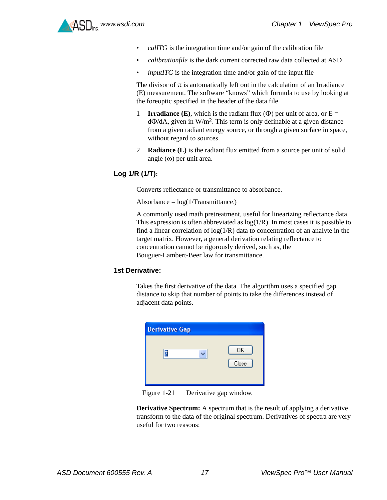- *calITG* is the integration time and/or gain of the calibration file
- *calibrationfile* is the dark current corrected raw data collected at ASD
- *inputITG* is the integration time and/or gain of the input file

The divisor of  $\pi$  is automatically left out in the calculation of an Irradiance (E) measurement. The software "knows" which formula to use by looking at the foreoptic specified in the header of the data file.

- 1 **Irradiance (E)**, which is the radiant flux  $(\Phi)$  per unit of area, or  $E =$  $d\Phi/dA$ , given in W/m<sup>2</sup>. This term is only definable at a given distance from a given radiant energy source, or through a given surface in space, without regard to sources.
- 2 **Radiance (L)** is the radiant flux emitted from a source per unit of solid angle  $(\omega)$  per unit area.

#### <span id="page-19-1"></span>**Log 1/R (1/T):**

Converts reflectance or transmittance to absorbance.

Absorbance =  $log(1/Transmittance.)$ 

A commonly used math pretreatment, useful for linearizing reflectance data. This expression is often abbreviated as  $log(1/R)$ . In most cases it is possible to find a linear correlation of  $log(1/R)$  data to concentration of an analyte in the target matrix. However, a general derivation relating reflectance to concentration cannot be rigorously derived, such as, the Bouguer-Lambert-Beer law for transmittance.

#### <span id="page-19-0"></span>**1st Derivative:**

Takes the first derivative of the data. The algorithm uses a specified gap distance to skip that number of points to take the differences instead of adjacent data points.

| <b>Derivative Gap</b> |             |
|-----------------------|-------------|
|                       | OK<br>Close |

Figure 1-21 Derivative gap window.

**Derivative Spectrum:** A spectrum that is the result of applying a derivative transform to the data of the original spectrum. Derivatives of spectra are very useful for two reasons: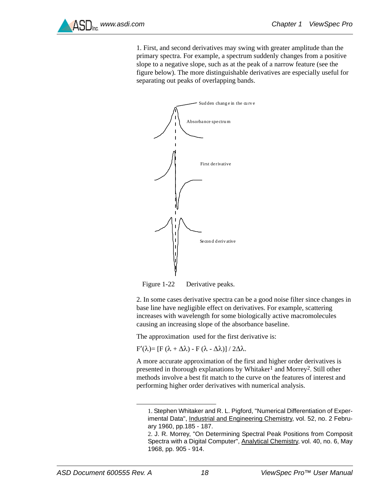

1. First, and second derivatives may swing with greater amplitude than the primary spectra. For example, a spectrum suddenly changes from a positive slope to a negative slope, such as at the peak of a narrow feature (see the figure below). The more distinguishable derivatives are especially useful for separating out peaks of overlapping bands.



Figure 1-22 Derivative peaks.

2. In some cases derivative spectra can be a good noise filter since changes in base line have negligible effect on derivatives. For example, scattering increases with wavelength for some biologically active macromolecules causing an increasing slope of the absorbance baseline.

The approximation used for the first derivative is:

 $F'(\lambda) = [F (\lambda + \Delta \lambda) - F (\lambda - \Delta \lambda)] / 2\Delta \lambda$ .

A more accurate approximation of the first and higher order derivatives is presented in thorough explanations by Whitaker<sup>1</sup> and Morrey<sup>2</sup>. Still other methods involve a best fit match to the curve on the features of interest and performing higher order derivatives with numerical analysis.

<sup>1.</sup> Stephen Whitaker and R. L. Pigford, "Numerical Differentiation of Experimental Data", Industrial and Engineering Chemistry, vol. 52, no. 2 February 1960, pp.185 - 187.

<sup>2.</sup> J. R. Morrey, "On Determining Spectral Peak Positions from Composit Spectra with a Digital Computer", Analytical Chemistry, vol. 40, no. 6, May 1968, pp. 905 - 914.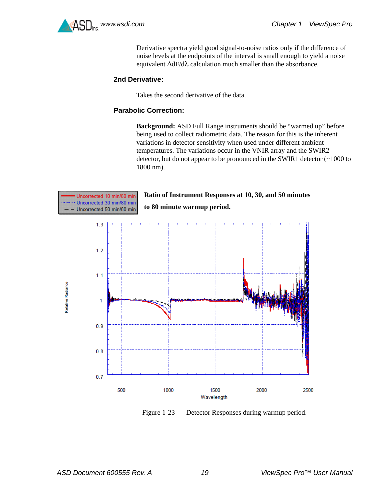

Derivative spectra yield good signal-to-noise ratios only if the difference of noise levels at the endpoints of the interval is small enough to yield a noise equivalent  $\Delta dF/d\lambda$  calculation much smaller than the absorbance.

#### <span id="page-21-0"></span>**2nd Derivative:**

Takes the second derivative of the data.

#### <span id="page-21-1"></span>**Parabolic Correction:**

**Background:** ASD Full Range instruments should be "warmed up" before being used to collect radiometric data. The reason for this is the inherent variations in detector sensitivity when used under different ambient temperatures. The variations occur in the VNIR array and the SWIR2 detector, but do not appear to be pronounced in the SWIR1 detector (~1000 to 1800 nm).

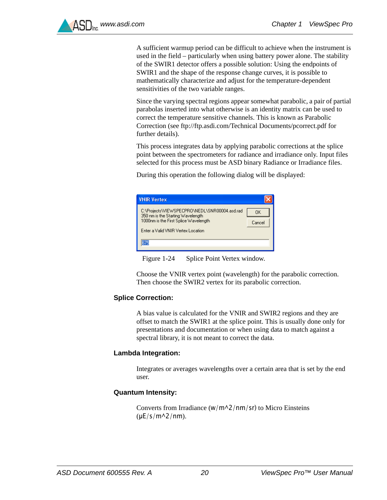A sufficient warmup period can be difficult to achieve when the instrument is used in the field – particularly when using battery power alone. The stability of the SWIR1 detector offers a possible solution: Using the endpoints of SWIR1 and the shape of the response change curves, it is possible to mathematically characterize and adjust for the temperature-dependent sensitivities of the two variable ranges.

[Since the varying spectral regions appear somewhat parabolic, a pair of partial](ftp://ftp.asdi.com/Technical%20Documents/pcorrect.pdf)  parabolas inserted into what otherwise is an identity matrix can be used to correct the temperature sensitive channels. This is known as Parabolic Correction (see ftp://ftp.asdi.com/Technical Documents/pcorrect.pdf for further details).

This process integrates data by applying parabolic corrections at the splice point between the spectrometers for radiance and irradiance only. Input files selected for this process must be ASD binary Radiance or Irradiance files.

During this operation the following dialog will be displayed:

| <b>VNIR Vertex</b>                                                                                                                                                |              |
|-------------------------------------------------------------------------------------------------------------------------------------------------------------------|--------------|
| C:\Projects\VIEWSPECPRO\NEDL\SNR00004.asd.rad<br>350 nm is the Starting Wavelength<br>1000nm is the First Splice Wavelength<br>Enter a Valid VNIR Vertex Location | OΚ<br>Cancel |
|                                                                                                                                                                   |              |

Figure 1-24 Splice Point Vertex window.

Choose the VNIR vertex point (wavelength) for the parabolic correction. Then choose the SWIR2 vertex for its parabolic correction.

#### <span id="page-22-2"></span>**Splice Correction:**

A bias value is calculated for the VNIR and SWIR2 regions and they are offset to match the SWIR1 at the splice point. This is usually done only for presentations and documentation or when using data to match against a spectral library, it is not meant to correct the data.

#### <span id="page-22-0"></span>**Lambda Integration:**

Integrates or averages wavelengths over a certain area that is set by the end user.

#### <span id="page-22-1"></span>**Quantum Intensity:**

Converts from Irradiance ( $w/m^2/nm/sr$ ) to Micro Einsteins  $(\mu E/s/m^2/nm)$ .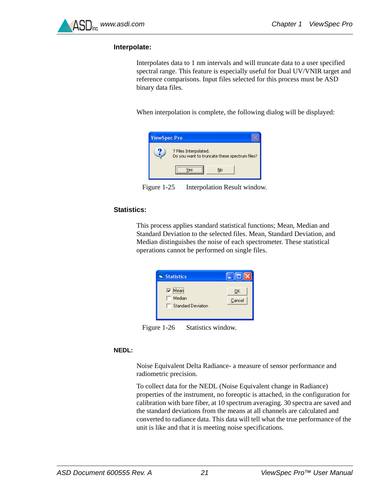

#### <span id="page-23-0"></span>**Interpolate:**

Interpolates data to 1 nm intervals and will truncate data to a user specified spectral range. This feature is especially useful for Dual UV/VNIR target and reference comparisons. Input files selected for this process must be ASD binary data files.

When interpolation is complete, the following dialog will be displayed:



Figure 1-25 Interpolation Result window.

#### <span id="page-23-2"></span>**Statistics:**

This process applies standard statistical functions; Mean, Median and Standard Deviation to the selected files. Mean, Standard Deviation, and Median distinguishes the noise of each spectrometer. These statistical operations cannot be performed on single files.



Figure 1-26 Statistics window.

#### <span id="page-23-1"></span>**NEDL:**

Noise Equivalent Delta Radiance- a measure of sensor performance and radiometric precision.

To collect data for the NEDL (Noise Equivalent change in Radiance) properties of the instrument, no foreoptic is attached, in the configuration for calibration with bare fiber, at 10 spectrum averaging. 30 spectra are saved and the standard deviations from the means at all channels are calculated and converted to radiance data. This data will tell what the true performance of the unit is like and that it is meeting noise specifications.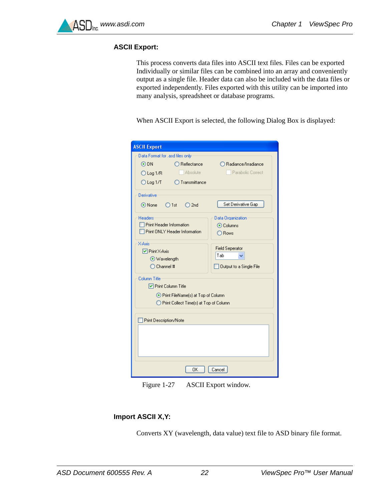

#### <span id="page-24-0"></span>**ASCII Export:**

This process converts data files into ASCII text files. Files can be exported Individually or similar files can be combined into an array and conveniently output as a single file. Header data can also be included with the data files or exported independently. Files exported with this utility can be imported into many analysis, spreadsheet or database programs.

When ASCII Export is selected, the following Dialog Box is displayed:

| <b>ASCII Export</b>                            |                               |  |  |  |
|------------------------------------------------|-------------------------------|--|--|--|
| Data Format for lasd files only                |                               |  |  |  |
| $\odot$ DN<br>$\bigcirc$ Reflectance           | ○ Radiance/Irradiance         |  |  |  |
| <b>Absolute</b><br>$O$ Log 1/R                 | Parabolic Correct             |  |  |  |
| $\bigcirc$ Transmittance<br>$\bigcirc$ Log 1/T |                               |  |  |  |
| Derivative                                     |                               |  |  |  |
| ⊙None O1st<br>$\bigcirc$ 2nd                   | Set Derivative Gap            |  |  |  |
| <b>Headers</b>                                 | Data Organization             |  |  |  |
| Print Header Information                       | ⊙ Columns                     |  |  |  |
| Print ONLY Header Information                  | ◯ Rows                        |  |  |  |
| X-Axis                                         |                               |  |  |  |
| <b>▽</b> Print X-Axis                          | <b>Field Seperator</b><br>Tab |  |  |  |
| ⊙ Wavelength                                   |                               |  |  |  |
| $\bigcirc$ Channel #                           | Output to a Single File       |  |  |  |
| Column Title                                   |                               |  |  |  |
| □ Print Column Title                           |                               |  |  |  |
| ⊙ Print FileName(s) at Top of Column           |                               |  |  |  |
| ◯ Print Collect Time(s) at Top of Column       |                               |  |  |  |
|                                                |                               |  |  |  |
| <b>Print Description/Note</b>                  |                               |  |  |  |
|                                                |                               |  |  |  |
|                                                |                               |  |  |  |
|                                                |                               |  |  |  |
|                                                |                               |  |  |  |
|                                                |                               |  |  |  |
| OK                                             | Cancel                        |  |  |  |

Figure 1-27 ASCII Export window.

#### <span id="page-24-1"></span>**Import ASCII X,Y:**

Converts XY (wavelength, data value) text file to ASD binary file format.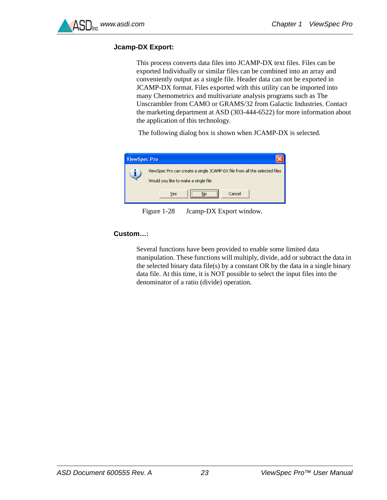

#### <span id="page-25-1"></span>**Jcamp-DX Export:**

This process converts data files into JCAMP-DX text files. Files can be exported Individually or similar files can be combined into an array and conveniently output as a single file. Header data can not be exported in JCAMP-DX format. Files exported with this utility can be imported into many Chemometrics and multivariate analysis programs such as The Unscrambler from CAMO or GRAMS/32 from Galactic Industries. Contact the marketing department at ASD (303-444-6522) for more information about the application of this technology.

The following dialog box is shown when JCAMP-DX is selected.

| <b>ViewSpec Pro</b>                                                                                                |               |  |  |  |  |  |  |
|--------------------------------------------------------------------------------------------------------------------|---------------|--|--|--|--|--|--|
| ViewSpec Pro can create a single JCAMP-DX file from all the selected files<br>Would you like to make a single file |               |  |  |  |  |  |  |
|                                                                                                                    | Yes<br>Cancel |  |  |  |  |  |  |

Figure 1-28 Jcamp-DX Export window.

#### <span id="page-25-0"></span>**Custom…:**

Several functions have been provided to enable some limited data manipulation. These functions will multiply, divide, add or subtract the data in the selected binary data file(s) by a constant OR by the data in a single binary data file. At this time, it is NOT possible to select the input files into the denominator of a ratio (divide) operation.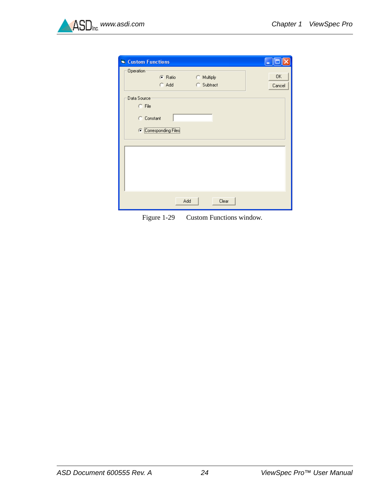

| <b>N</b> Custom Functions |                       |            |       |        |
|---------------------------|-----------------------|------------|-------|--------|
| Operation                 |                       |            |       |        |
|                           | C Ratio               | C Multiply |       | 0K     |
|                           | C Add                 | C Subtract |       | Cancel |
| Data Source               |                       |            |       |        |
|                           |                       |            |       |        |
| $C$ File                  |                       |            |       |        |
| C Constant                |                       |            |       |        |
|                           |                       |            |       |        |
|                           | C Corresponding Files |            |       |        |
|                           |                       |            |       |        |
|                           |                       |            |       |        |
|                           |                       |            |       |        |
|                           |                       |            |       |        |
|                           |                       |            |       |        |
|                           |                       |            |       |        |
|                           |                       |            |       |        |
|                           |                       |            |       |        |
|                           |                       | Add        | Clear |        |
|                           |                       |            |       |        |

Figure 1-29 Custom Functions window.